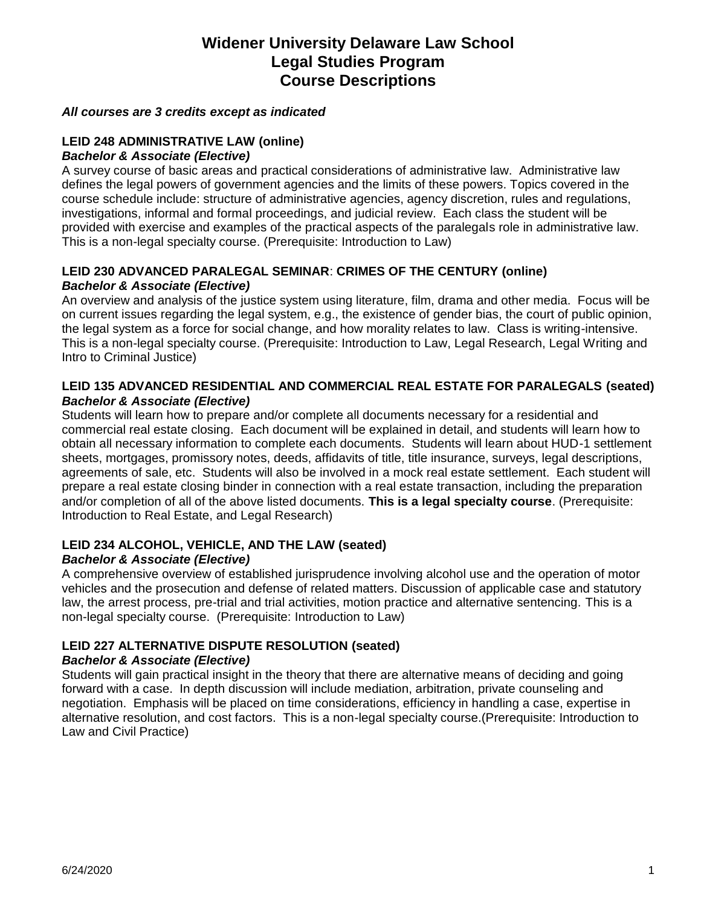## **Widener University Delaware Law School Legal Studies Program Course Descriptions**

#### *All courses are 3 credits except as indicated*

#### **LEID 248 ADMINISTRATIVE LAW (online)**  *Bachelor & Associate (Elective)*

A survey course of basic areas and practical considerations of administrative law. Administrative law defines the legal powers of government agencies and the limits of these powers. Topics covered in the course schedule include: structure of administrative agencies, agency discretion, rules and regulations, investigations, informal and formal proceedings, and judicial review. Each class the student will be provided with exercise and examples of the practical aspects of the paralegals role in administrative law. This is a non-legal specialty course. (Prerequisite: Introduction to Law)

### **LEID 230 ADVANCED PARALEGAL SEMINAR**: **CRIMES OF THE CENTURY (online)** *Bachelor & Associate (Elective)*

An overview and analysis of the justice system using literature, film, drama and other media. Focus will be on current issues regarding the legal system, e.g., the existence of gender bias, the court of public opinion, the legal system as a force for social change, and how morality relates to law. Class is writing-intensive. This is a non-legal specialty course. (Prerequisite: Introduction to Law, Legal Research, Legal Writing and Intro to Criminal Justice)

#### **LEID 135 ADVANCED RESIDENTIAL AND COMMERCIAL REAL ESTATE FOR PARALEGALS (seated)** *Bachelor & Associate (Elective)*

Students will learn how to prepare and/or complete all documents necessary for a residential and commercial real estate closing. Each document will be explained in detail, and students will learn how to obtain all necessary information to complete each documents. Students will learn about HUD-1 settlement sheets, mortgages, promissory notes, deeds, affidavits of title, title insurance, surveys, legal descriptions, agreements of sale, etc. Students will also be involved in a mock real estate settlement. Each student will prepare a real estate closing binder in connection with a real estate transaction, including the preparation and/or completion of all of the above listed documents. **This is a legal specialty course**. (Prerequisite: Introduction to Real Estate, and Legal Research)

#### **LEID 234 ALCOHOL, VEHICLE, AND THE LAW (seated)** *Bachelor & Associate (Elective)*

A comprehensive overview of established jurisprudence involving alcohol use and the operation of motor vehicles and the prosecution and defense of related matters. Discussion of applicable case and statutory law, the arrest process, pre-trial and trial activities, motion practice and alternative sentencing. This is a non-legal specialty course. (Prerequisite: Introduction to Law)

## **LEID 227 ALTERNATIVE DISPUTE RESOLUTION (seated)**

#### *Bachelor & Associate (Elective)*

Students will gain practical insight in the theory that there are alternative means of deciding and going forward with a case. In depth discussion will include mediation, arbitration, private counseling and negotiation. Emphasis will be placed on time considerations, efficiency in handling a case, expertise in alternative resolution, and cost factors. This is a non-legal specialty course.(Prerequisite: Introduction to Law and Civil Practice)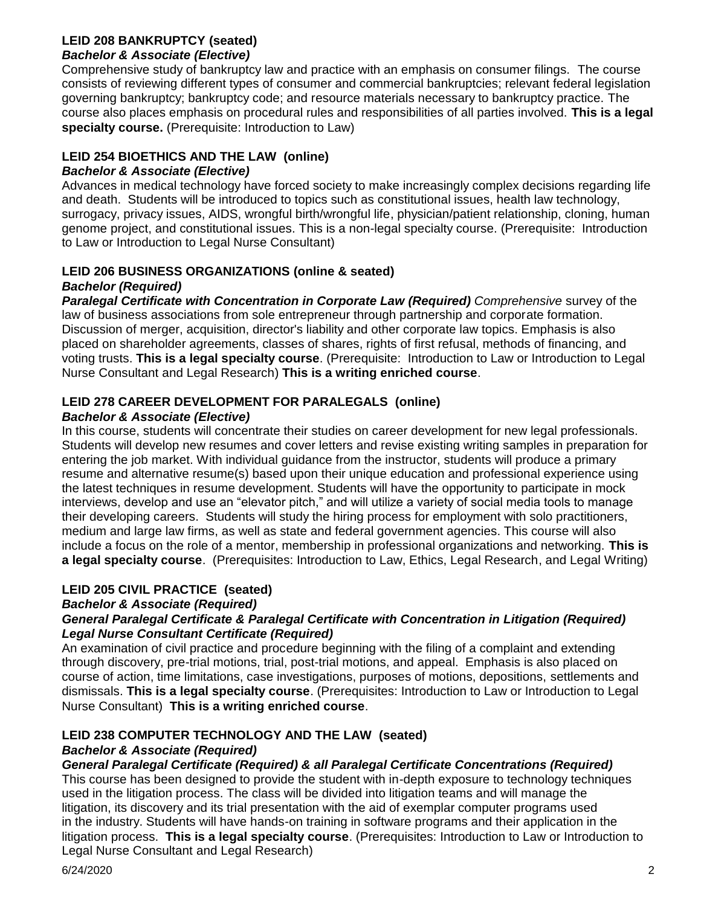#### **LEID 208 BANKRUPTCY (seated)** *Bachelor & Associate (Elective)*

Comprehensive study of bankruptcy law and practice with an emphasis on consumer filings. The course consists of reviewing different types of consumer and commercial bankruptcies; relevant federal legislation governing bankruptcy; bankruptcy code; and resource materials necessary to bankruptcy practice. The course also places emphasis on procedural rules and responsibilities of all parties involved. **This is a legal specialty course.** (Prerequisite: Introduction to Law)

## **LEID 254 BIOETHICS AND THE LAW (online)**

## *Bachelor & Associate (Elective)*

Advances in medical technology have forced society to make increasingly complex decisions regarding life and death. Students will be introduced to topics such as constitutional issues, health law technology, surrogacy, privacy issues, AIDS, wrongful birth/wrongful life, physician/patient relationship, cloning, human genome project, and constitutional issues. This is a non-legal specialty course. (Prerequisite: Introduction to Law or Introduction to Legal Nurse Consultant)

# **LEID 206 BUSINESS ORGANIZATIONS (online & seated)**

## *Bachelor (Required)*

*Paralegal Certificate with Concentration in Corporate Law (Required) Comprehensive* survey of the law of business associations from sole entrepreneur through partnership and corporate formation. Discussion of merger, acquisition, director's liability and other corporate law topics. Emphasis is also placed on shareholder agreements, classes of shares, rights of first refusal, methods of financing, and voting trusts. **This is a legal specialty course**. (Prerequisite: Introduction to Law or Introduction to Legal Nurse Consultant and Legal Research) **This is a writing enriched course**.

## **LEID 278 CAREER DEVELOPMENT FOR PARALEGALS (online)**

## *Bachelor & Associate (Elective)*

In this course, students will concentrate their studies on career development for new legal professionals. Students will develop new resumes and cover letters and revise existing writing samples in preparation for entering the job market. With individual guidance from the instructor, students will produce a primary resume and alternative resume(s) based upon their unique education and professional experience using the latest techniques in resume development. Students will have the opportunity to participate in mock interviews, develop and use an "elevator pitch," and will utilize a variety of social media tools to manage their developing careers. Students will study the hiring process for employment with solo practitioners, medium and large law firms, as well as state and federal government agencies. This course will also include a focus on the role of a mentor, membership in professional organizations and networking. **This is a legal specialty course**. (Prerequisites: Introduction to Law, Ethics, Legal Research, and Legal Writing)

## **LEID 205 CIVIL PRACTICE (seated)**

## *Bachelor & Associate (Required)*

### *General Paralegal Certificate & Paralegal Certificate with Concentration in Litigation (Required) Legal Nurse Consultant Certificate (Required)*

An examination of civil practice and procedure beginning with the filing of a complaint and extending through discovery, pre-trial motions, trial, post-trial motions, and appeal. Emphasis is also placed on course of action, time limitations, case investigations, purposes of motions, depositions, settlements and dismissals. **This is a legal specialty course**. (Prerequisites: Introduction to Law or Introduction to Legal Nurse Consultant) **This is a writing enriched course**.

## **LEID 238 COMPUTER TECHNOLOGY AND THE LAW (seated)**

## *Bachelor & Associate (Required)*

## *General Paralegal Certificate (Required) & all Paralegal Certificate Concentrations (Required)*

This course has been designed to provide the student with in-depth exposure to technology techniques used in the litigation process. The class will be divided into litigation teams and will manage the litigation, its discovery and its trial presentation with the aid of exemplar computer programs used in the industry. Students will have hands-on training in software programs and their application in the litigation process. **This is a legal specialty course**. (Prerequisites: Introduction to Law or Introduction to Legal Nurse Consultant and Legal Research)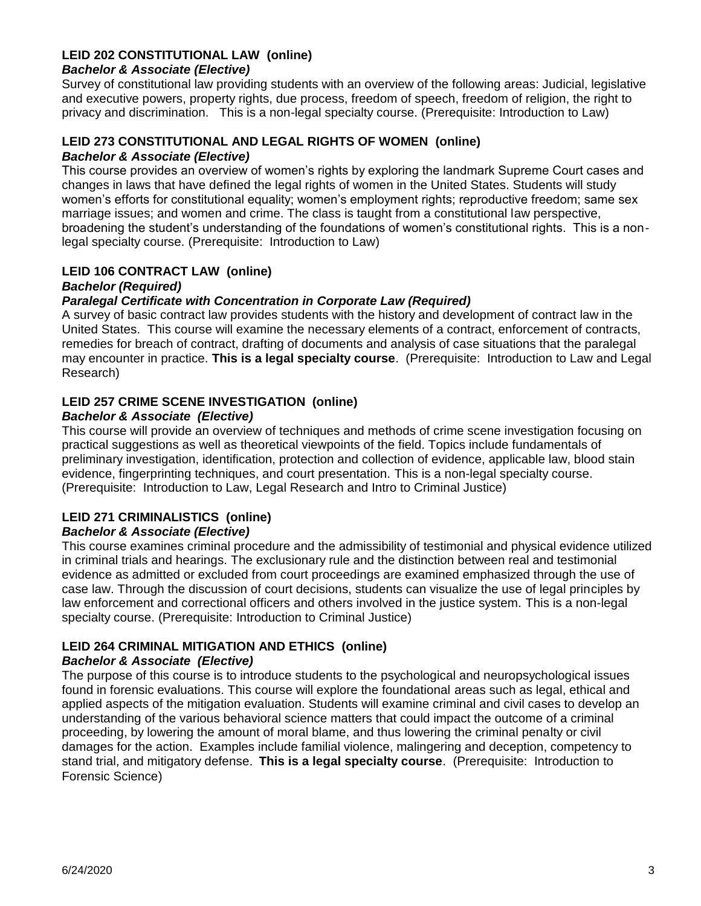### **LEID 202 CONSTITUTIONAL LAW (online)**

#### *Bachelor & Associate (Elective)*

Survey of constitutional law providing students with an overview of the following areas: Judicial, legislative and executive powers, property rights, due process, freedom of speech, freedom of religion, the right to privacy and discrimination. This is a non-legal specialty course. (Prerequisite: Introduction to Law)

#### **LEID 273 CONSTITUTIONAL AND LEGAL RIGHTS OF WOMEN (online)** *Bachelor & Associate (Elective)*

This course provides an overview of women's rights by exploring the landmark Supreme Court cases and changes in laws that have defined the legal rights of women in the United States. Students will study women's efforts for constitutional equality; women's employment rights; reproductive freedom; same sex marriage issues; and women and crime. The class is taught from a constitutional law perspective, broadening the student's understanding of the foundations of women's constitutional rights. This is a nonlegal specialty course. (Prerequisite: Introduction to Law)

#### **LEID 106 CONTRACT LAW (online)**

#### *Bachelor (Required)*

#### *Paralegal Certificate with Concentration in Corporate Law (Required)*

A survey of basic contract law provides students with the history and development of contract law in the United States. This course will examine the necessary elements of a contract, enforcement of contracts, remedies for breach of contract, drafting of documents and analysis of case situations that the paralegal may encounter in practice. **This is a legal specialty course**. (Prerequisite: Introduction to Law and Legal Research)

#### **LEID 257 CRIME SCENE INVESTIGATION (online)**

#### *Bachelor & Associate (Elective)*

This course will provide an overview of techniques and methods of crime scene investigation focusing on practical suggestions as well as theoretical viewpoints of the field. Topics include fundamentals of preliminary investigation, identification, protection and collection of evidence, applicable law, blood stain evidence, fingerprinting techniques, and court presentation. This is a non-legal specialty course. (Prerequisite: Introduction to Law, Legal Research and Intro to Criminal Justice)

## **LEID 271 CRIMINALISTICS (online)**

#### *Bachelor & Associate (Elective)*

This course examines criminal procedure and the admissibility of testimonial and physical evidence utilized in criminal trials and hearings. The exclusionary rule and the distinction between real and testimonial evidence as admitted or excluded from court proceedings are examined emphasized through the use of case law. Through the discussion of court decisions, students can visualize the use of legal principles by law enforcement and correctional officers and others involved in the justice system. This is a non-legal specialty course. (Prerequisite: Introduction to Criminal Justice)

#### **LEID 264 CRIMINAL MITIGATION AND ETHICS (online)**

#### *Bachelor & Associate (Elective)*

The purpose of this course is to introduce students to the psychological and neuropsychological issues found in forensic evaluations. This course will explore the foundational areas such as legal, ethical and applied aspects of the mitigation evaluation. Students will examine criminal and civil cases to develop an understanding of the various behavioral science matters that could impact the outcome of a criminal proceeding, by lowering the amount of moral blame, and thus lowering the criminal penalty or civil damages for the action. Examples include familial violence, malingering and deception, competency to stand trial, and mitigatory defense. **This is a legal specialty course**. (Prerequisite: Introduction to Forensic Science)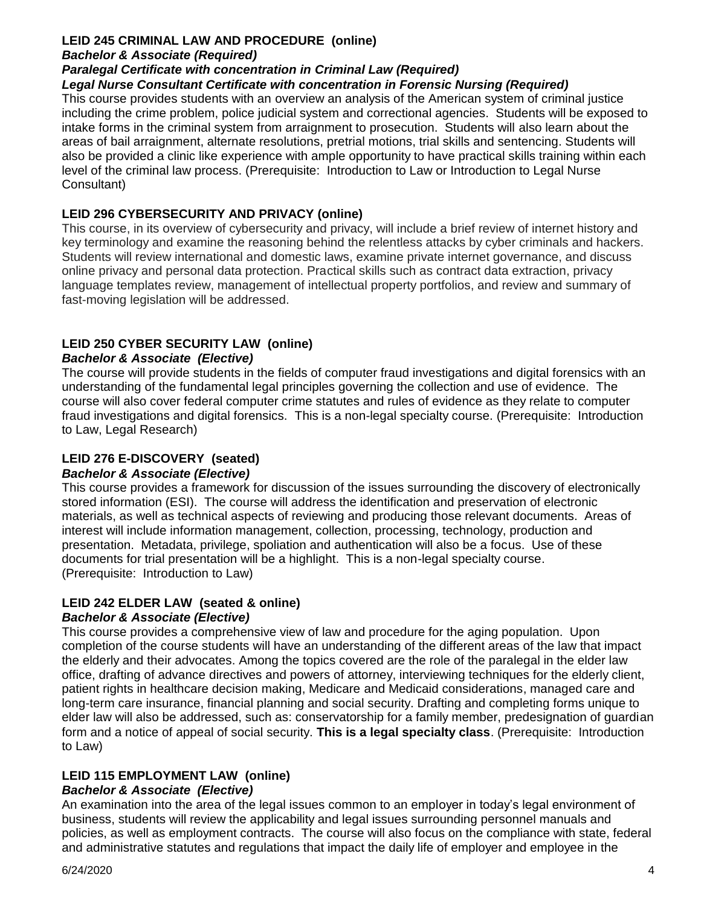## **LEID 245 CRIMINAL LAW AND PROCEDURE (online)**

#### *Bachelor & Associate (Required)*

#### *Paralegal Certificate with concentration in Criminal Law (Required)*

#### *Legal Nurse Consultant Certificate with concentration in Forensic Nursing (Required)*

This course provides students with an overview an analysis of the American system of criminal justice including the crime problem, police judicial system and correctional agencies. Students will be exposed to intake forms in the criminal system from arraignment to prosecution. Students will also learn about the areas of bail arraignment, alternate resolutions, pretrial motions, trial skills and sentencing. Students will also be provided a clinic like experience with ample opportunity to have practical skills training within each level of the criminal law process. (Prerequisite: Introduction to Law or Introduction to Legal Nurse Consultant)

### **LEID 296 CYBERSECURITY AND PRIVACY (online)**

This course, in its overview of cybersecurity and privacy, will include a brief review of internet history and key terminology and examine the reasoning behind the relentless attacks by cyber criminals and hackers. Students will review international and domestic laws, examine private internet governance, and discuss online privacy and personal data protection. Practical skills such as contract data extraction, privacy language templates review, management of intellectual property portfolios, and review and summary of fast-moving legislation will be addressed.

## **LEID 250 CYBER SECURITY LAW (online)**

#### *Bachelor & Associate (Elective)*

The course will provide students in the fields of computer fraud investigations and digital forensics with an understanding of the fundamental legal principles governing the collection and use of evidence. The course will also cover federal computer crime statutes and rules of evidence as they relate to computer fraud investigations and digital forensics. This is a non-legal specialty course. (Prerequisite: Introduction to Law, Legal Research)

## **LEID 276 E-DISCOVERY (seated)**

#### *Bachelor & Associate (Elective)*

This course provides a framework for discussion of the issues surrounding the discovery of electronically stored information (ESI). The course will address the identification and preservation of electronic materials, as well as technical aspects of reviewing and producing those relevant documents. Areas of interest will include information management, collection, processing, technology, production and presentation. Metadata, privilege, spoliation and authentication will also be a focus. Use of these documents for trial presentation will be a highlight. This is a non-legal specialty course. (Prerequisite: Introduction to Law)

#### **LEID 242 ELDER LAW (seated & online)** *Bachelor & Associate (Elective)*

This course provides a comprehensive view of law and procedure for the aging population. Upon completion of the course students will have an understanding of the different areas of the law that impact the elderly and their advocates. Among the topics covered are the role of the paralegal in the elder law office, drafting of advance directives and powers of attorney, interviewing techniques for the elderly client, patient rights in healthcare decision making, Medicare and Medicaid considerations, managed care and long-term care insurance, financial planning and social security. Drafting and completing forms unique to elder law will also be addressed, such as: conservatorship for a family member, predesignation of guardian form and a notice of appeal of social security. **This is a legal specialty class**. (Prerequisite: Introduction to Law)

## **LEID 115 EMPLOYMENT LAW (online)**

## *Bachelor & Associate (Elective)*

An examination into the area of the legal issues common to an employer in today's legal environment of business, students will review the applicability and legal issues surrounding personnel manuals and policies, as well as employment contracts. The course will also focus on the compliance with state, federal and administrative statutes and regulations that impact the daily life of employer and employee in the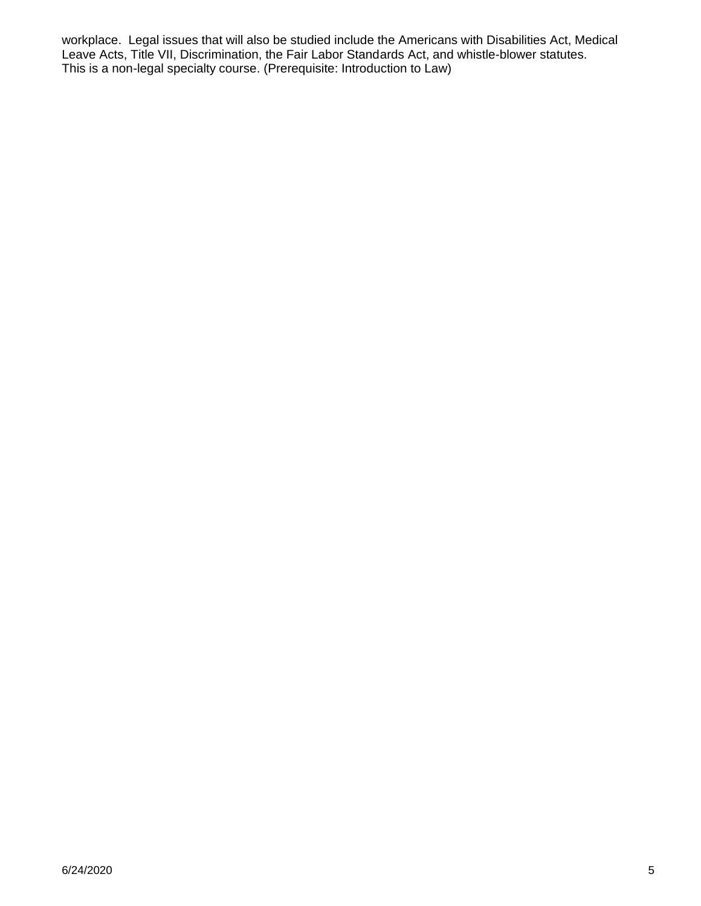workplace. Legal issues that will also be studied include the Americans with Disabilities Act, Medical Leave Acts, Title VII, Discrimination, the Fair Labor Standards Act, and whistle-blower statutes. This is a non-legal specialty course. (Prerequisite: Introduction to Law)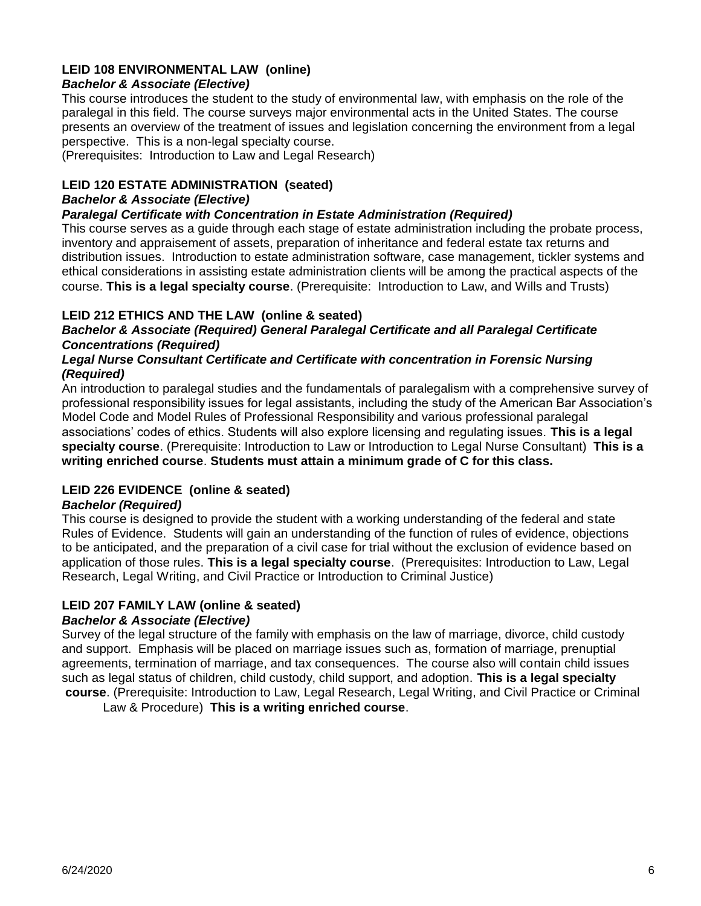## **LEID 108 ENVIRONMENTAL LAW (online)**

## *Bachelor & Associate (Elective)*

This course introduces the student to the study of environmental law, with emphasis on the role of the paralegal in this field. The course surveys major environmental acts in the United States. The course presents an overview of the treatment of issues and legislation concerning the environment from a legal perspective. This is a non-legal specialty course.

(Prerequisites: Introduction to Law and Legal Research)

### **LEID 120 ESTATE ADMINISTRATION (seated)**

#### *Bachelor & Associate (Elective)*

#### *Paralegal Certificate with Concentration in Estate Administration (Required)*

This course serves as a guide through each stage of estate administration including the probate process, inventory and appraisement of assets, preparation of inheritance and federal estate tax returns and distribution issues. Introduction to estate administration software, case management, tickler systems and ethical considerations in assisting estate administration clients will be among the practical aspects of the course. **This is a legal specialty course**. (Prerequisite: Introduction to Law, and Wills and Trusts)

## **LEID 212 ETHICS AND THE LAW (online & seated)**

#### *Bachelor & Associate (Required) General Paralegal Certificate and all Paralegal Certificate Concentrations (Required)*

#### *Legal Nurse Consultant Certificate and Certificate with concentration in Forensic Nursing (Required)*

An introduction to paralegal studies and the fundamentals of paralegalism with a comprehensive survey of professional responsibility issues for legal assistants, including the study of the American Bar Association's Model Code and Model Rules of Professional Responsibility and various professional paralegal associations' codes of ethics. Students will also explore licensing and regulating issues. **This is a legal specialty course**. (Prerequisite: Introduction to Law or Introduction to Legal Nurse Consultant) **This is a writing enriched course**. **Students must attain a minimum grade of C for this class.**

## **LEID 226 EVIDENCE (online & seated)**

#### *Bachelor (Required)*

This course is designed to provide the student with a working understanding of the federal and state Rules of Evidence. Students will gain an understanding of the function of rules of evidence, objections to be anticipated, and the preparation of a civil case for trial without the exclusion of evidence based on application of those rules. **This is a legal specialty course**. (Prerequisites: Introduction to Law, Legal Research, Legal Writing, and Civil Practice or Introduction to Criminal Justice)

## **LEID 207 FAMILY LAW (online & seated)**

#### *Bachelor & Associate (Elective)*

Survey of the legal structure of the family with emphasis on the law of marriage, divorce, child custody and support. Emphasis will be placed on marriage issues such as, formation of marriage, prenuptial agreements, termination of marriage, and tax consequences. The course also will contain child issues such as legal status of children, child custody, child support, and adoption. **This is a legal specialty course**. (Prerequisite: Introduction to Law, Legal Research, Legal Writing, and Civil Practice or Criminal

Law & Procedure) **This is a writing enriched course**.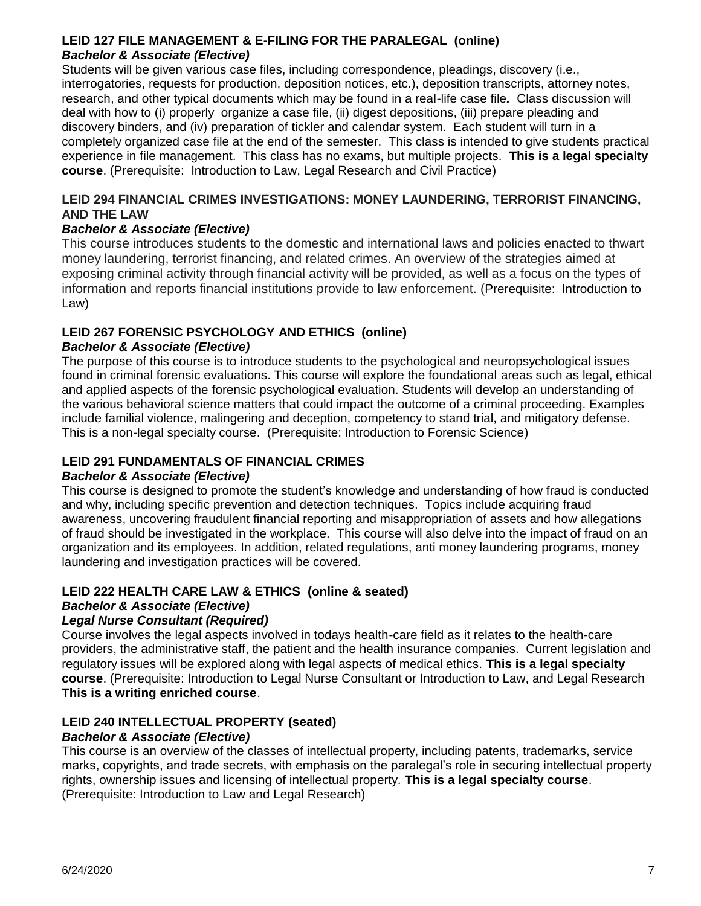### **LEID 127 FILE MANAGEMENT & E-FILING FOR THE PARALEGAL (online)** *Bachelor & Associate (Elective)*

Students will be given various case files, including correspondence, pleadings, discovery (i.e., interrogatories, requests for production, deposition notices, etc.), deposition transcripts, attorney notes, research, and other typical documents which may be found in a real-life case file*.* Class discussion will deal with how to (i) properly organize a case file, (ii) digest depositions, (iii) prepare pleading and discovery binders, and (iv) preparation of tickler and calendar system. Each student will turn in a completely organized case file at the end of the semester. This class is intended to give students practical experience in file management. This class has no exams, but multiple projects. **This is a legal specialty course**. (Prerequisite: Introduction to Law, Legal Research and Civil Practice)

#### **LEID 294 FINANCIAL CRIMES INVESTIGATIONS: MONEY LAUNDERING, TERRORIST FINANCING, AND THE LAW**

### *Bachelor & Associate (Elective)*

This course introduces students to the domestic and international laws and policies enacted to thwart money laundering, terrorist financing, and related crimes. An overview of the strategies aimed at exposing criminal activity through financial activity will be provided, as well as a focus on the types of information and reports financial institutions provide to law enforcement. (Prerequisite: Introduction to Law)

## **LEID 267 FORENSIC PSYCHOLOGY AND ETHICS (online)**

### *Bachelor & Associate (Elective)*

The purpose of this course is to introduce students to the psychological and neuropsychological issues found in criminal forensic evaluations. This course will explore the foundational areas such as legal, ethical and applied aspects of the forensic psychological evaluation. Students will develop an understanding of the various behavioral science matters that could impact the outcome of a criminal proceeding. Examples include familial violence, malingering and deception, competency to stand trial, and mitigatory defense. This is a non-legal specialty course. (Prerequisite: Introduction to Forensic Science)

## **LEID 291 FUNDAMENTALS OF FINANCIAL CRIMES**

#### *Bachelor & Associate (Elective)*

This course is designed to promote the student's knowledge and understanding of how fraud is conducted and why, including specific prevention and detection techniques. Topics include acquiring fraud awareness, uncovering fraudulent financial reporting and misappropriation of assets and how allegations of fraud should be investigated in the workplace. This course will also delve into the impact of fraud on an organization and its employees. In addition, related regulations, anti money laundering programs, money laundering and investigation practices will be covered.

#### **LEID 222 HEALTH CARE LAW & ETHICS (online & seated)**

#### *Bachelor & Associate (Elective)*

#### *Legal Nurse Consultant (Required)*

Course involves the legal aspects involved in todays health-care field as it relates to the health-care providers, the administrative staff, the patient and the health insurance companies. Current legislation and regulatory issues will be explored along with legal aspects of medical ethics. **This is a legal specialty course**. (Prerequisite: Introduction to Legal Nurse Consultant or Introduction to Law, and Legal Research **This is a writing enriched course**.

## **LEID 240 INTELLECTUAL PROPERTY (seated)**

#### *Bachelor & Associate (Elective)*

This course is an overview of the classes of intellectual property, including patents, trademarks, service marks, copyrights, and trade secrets, with emphasis on the paralegal's role in securing intellectual property rights, ownership issues and licensing of intellectual property. **This is a legal specialty course**. (Prerequisite: Introduction to Law and Legal Research)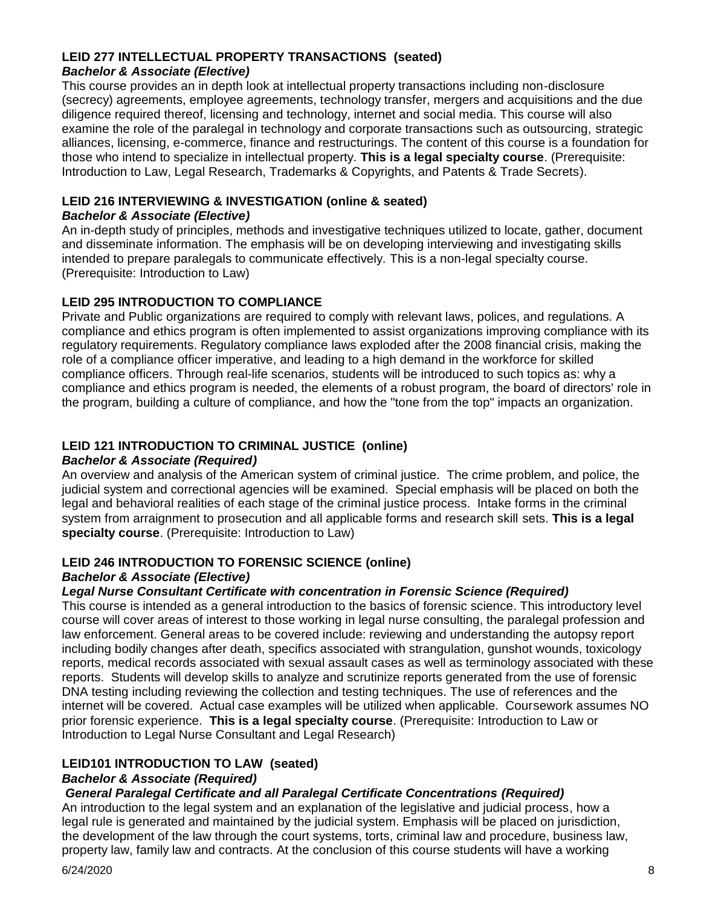### **LEID 277 INTELLECTUAL PROPERTY TRANSACTIONS (seated)** *Bachelor & Associate (Elective)*

This course provides an in depth look at intellectual property transactions including non-disclosure (secrecy) agreements, employee agreements, technology transfer, mergers and acquisitions and the due diligence required thereof, licensing and technology, internet and social media. This course will also examine the role of the paralegal in technology and corporate transactions such as outsourcing, strategic alliances, licensing, e-commerce, finance and restructurings. The content of this course is a foundation for those who intend to specialize in intellectual property. **This is a legal specialty course**. (Prerequisite: Introduction to Law, Legal Research, Trademarks & Copyrights, and Patents & Trade Secrets).

### **LEID 216 INTERVIEWING & INVESTIGATION (online & seated)**

#### *Bachelor & Associate (Elective)*

An in-depth study of principles, methods and investigative techniques utilized to locate, gather, document and disseminate information. The emphasis will be on developing interviewing and investigating skills intended to prepare paralegals to communicate effectively. This is a non-legal specialty course. (Prerequisite: Introduction to Law)

## **LEID 295 INTRODUCTION TO COMPLIANCE**

Private and Public organizations are required to comply with relevant laws, polices, and regulations. A compliance and ethics program is often implemented to assist organizations improving compliance with its regulatory requirements. Regulatory compliance laws exploded after the 2008 financial crisis, making the role of a compliance officer imperative, and leading to a high demand in the workforce for skilled compliance officers. Through real-life scenarios, students will be introduced to such topics as: why a compliance and ethics program is needed, the elements of a robust program, the board of directors' role in the program, building a culture of compliance, and how the "tone from the top" impacts an organization.

## **LEID 121 INTRODUCTION TO CRIMINAL JUSTICE (online)**

### *Bachelor & Associate (Required)*

An overview and analysis of the American system of criminal justice. The crime problem, and police, the judicial system and correctional agencies will be examined. Special emphasis will be placed on both the legal and behavioral realities of each stage of the criminal justice process. Intake forms in the criminal system from arraignment to prosecution and all applicable forms and research skill sets. **This is a legal specialty course**. (Prerequisite: Introduction to Law)

## **LEID 246 INTRODUCTION TO FORENSIC SCIENCE (online)**

#### *Bachelor & Associate (Elective)*

## *Legal Nurse Consultant Certificate with concentration in Forensic Science (Required)*

This course is intended as a general introduction to the basics of forensic science. This introductory level course will cover areas of interest to those working in legal nurse consulting, the paralegal profession and law enforcement. General areas to be covered include: reviewing and understanding the autopsy report including bodily changes after death, specifics associated with strangulation, gunshot wounds, toxicology reports, medical records associated with sexual assault cases as well as terminology associated with these reports. Students will develop skills to analyze and scrutinize reports generated from the use of forensic DNA testing including reviewing the collection and testing techniques. The use of references and the internet will be covered. Actual case examples will be utilized when applicable. Coursework assumes NO prior forensic experience. **This is a legal specialty course**. (Prerequisite: Introduction to Law or Introduction to Legal Nurse Consultant and Legal Research)

## **LEID101 INTRODUCTION TO LAW (seated)**

#### *Bachelor & Associate (Required)*

## *General Paralegal Certificate and all Paralegal Certificate Concentrations (Required)*

An introduction to the legal system and an explanation of the legislative and judicial process, how a legal rule is generated and maintained by the judicial system. Emphasis will be placed on jurisdiction, the development of the law through the court systems, torts, criminal law and procedure, business law, property law, family law and contracts. At the conclusion of this course students will have a working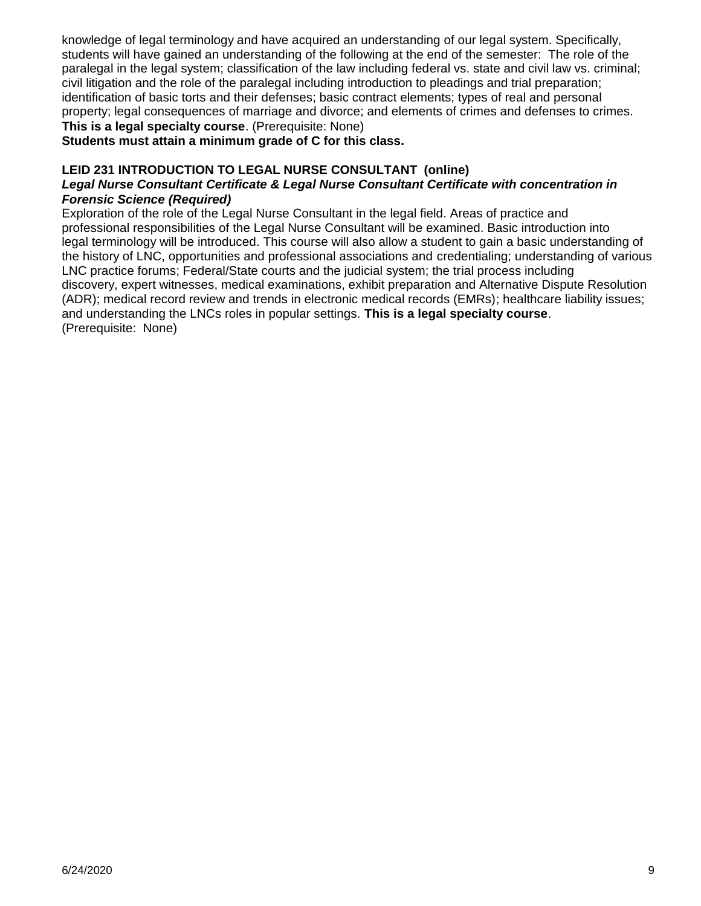knowledge of legal terminology and have acquired an understanding of our legal system. Specifically, students will have gained an understanding of the following at the end of the semester: The role of the paralegal in the legal system; classification of the law including federal vs. state and civil law vs. criminal; civil litigation and the role of the paralegal including introduction to pleadings and trial preparation; identification of basic torts and their defenses; basic contract elements; types of real and personal property; legal consequences of marriage and divorce; and elements of crimes and defenses to crimes. **This is a legal specialty course**. (Prerequisite: None)

#### **Students must attain a minimum grade of C for this class.**

### **LEID 231 INTRODUCTION TO LEGAL NURSE CONSULTANT (online)**

#### *Legal Nurse Consultant Certificate & Legal Nurse Consultant Certificate with concentration in Forensic Science (Required)*

Exploration of the role of the Legal Nurse Consultant in the legal field. Areas of practice and professional responsibilities of the Legal Nurse Consultant will be examined. Basic introduction into legal terminology will be introduced. This course will also allow a student to gain a basic understanding of the history of LNC, opportunities and professional associations and credentialing; understanding of various LNC practice forums; Federal/State courts and the judicial system; the trial process including discovery, expert witnesses, medical examinations, exhibit preparation and Alternative Dispute Resolution (ADR); medical record review and trends in electronic medical records (EMRs); healthcare liability issues; and understanding the LNCs roles in popular settings. **This is a legal specialty course**. (Prerequisite: None)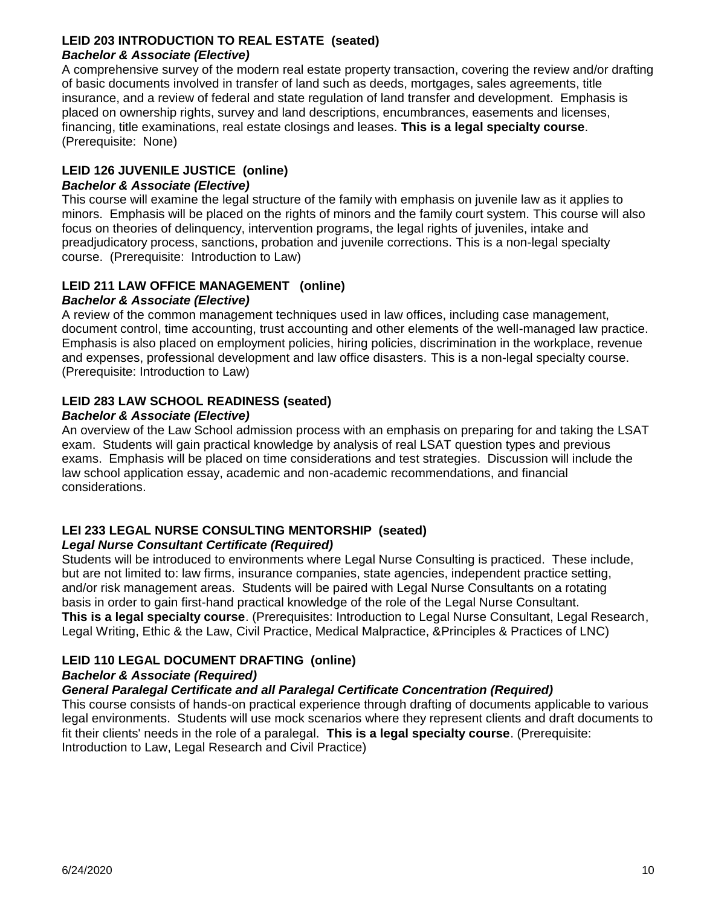### **LEID 203 INTRODUCTION TO REAL ESTATE (seated)** *Bachelor & Associate (Elective)*

A comprehensive survey of the modern real estate property transaction, covering the review and/or drafting of basic documents involved in transfer of land such as deeds, mortgages, sales agreements, title insurance, and a review of federal and state regulation of land transfer and development. Emphasis is placed on ownership rights, survey and land descriptions, encumbrances, easements and licenses, financing, title examinations, real estate closings and leases. **This is a legal specialty course**. (Prerequisite: None)

## **LEID 126 JUVENILE JUSTICE (online)**

### *Bachelor & Associate (Elective)*

This course will examine the legal structure of the family with emphasis on juvenile law as it applies to minors. Emphasis will be placed on the rights of minors and the family court system. This course will also focus on theories of delinquency, intervention programs, the legal rights of juveniles, intake and preadjudicatory process, sanctions, probation and juvenile corrections. This is a non-legal specialty course. (Prerequisite: Introduction to Law)

## **LEID 211 LAW OFFICE MANAGEMENT (online)**

### *Bachelor & Associate (Elective)*

A review of the common management techniques used in law offices, including case management, document control, time accounting, trust accounting and other elements of the well-managed law practice. Emphasis is also placed on employment policies, hiring policies, discrimination in the workplace, revenue and expenses, professional development and law office disasters. This is a non-legal specialty course. (Prerequisite: Introduction to Law)

## **LEID 283 LAW SCHOOL READINESS (seated)**

#### *Bachelor & Associate (Elective)*

An overview of the Law School admission process with an emphasis on preparing for and taking the LSAT exam. Students will gain practical knowledge by analysis of real LSAT question types and previous exams. Emphasis will be placed on time considerations and test strategies. Discussion will include the law school application essay, academic and non-academic recommendations, and financial considerations.

## **LEI 233 LEGAL NURSE CONSULTING MENTORSHIP (seated)**

#### *Legal Nurse Consultant Certificate (Required)*

Students will be introduced to environments where Legal Nurse Consulting is practiced. These include, but are not limited to: law firms, insurance companies, state agencies, independent practice setting, and/or risk management areas. Students will be paired with Legal Nurse Consultants on a rotating basis in order to gain first-hand practical knowledge of the role of the Legal Nurse Consultant. **This is a legal specialty course**. (Prerequisites: Introduction to Legal Nurse Consultant, Legal Research, Legal Writing, Ethic & the Law, Civil Practice, Medical Malpractice, &Principles & Practices of LNC)

## **LEID 110 LEGAL DOCUMENT DRAFTING (online)**

## *Bachelor & Associate (Required)*

## *General Paralegal Certificate and all Paralegal Certificate Concentration (Required)*

This course consists of hands-on practical experience through drafting of documents applicable to various legal environments. Students will use mock scenarios where they represent clients and draft documents to fit their clients' needs in the role of a paralegal. **This is a legal specialty course**. (Prerequisite: Introduction to Law, Legal Research and Civil Practice)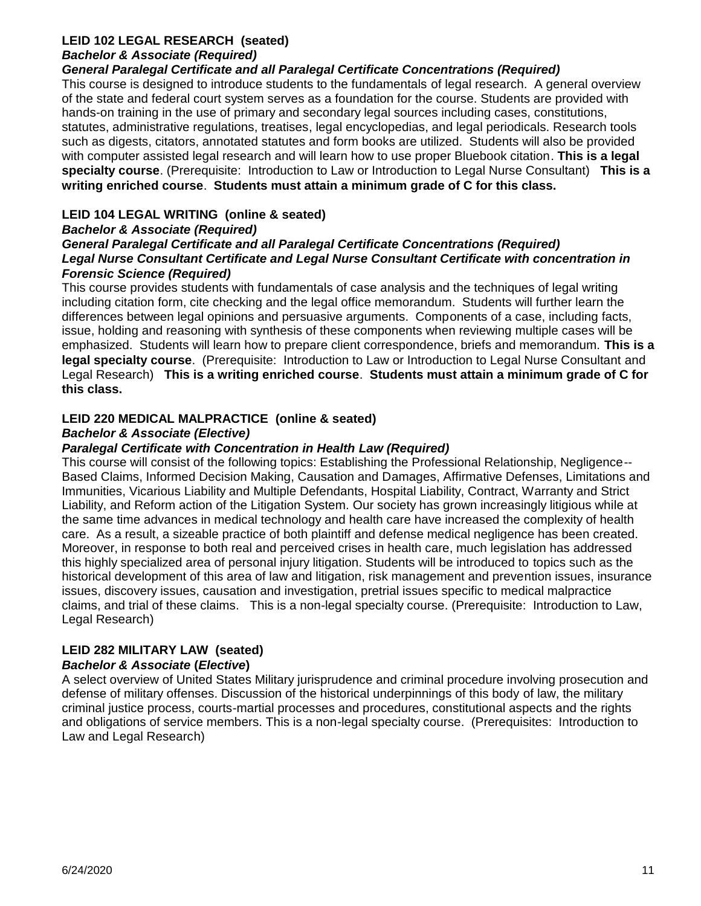### **LEID 102 LEGAL RESEARCH (seated)** *Bachelor & Associate (Required)*

#### *General Paralegal Certificate and all Paralegal Certificate Concentrations (Required)*

This course is designed to introduce students to the fundamentals of legal research. A general overview of the state and federal court system serves as a foundation for the course. Students are provided with hands-on training in the use of primary and secondary legal sources including cases, constitutions, statutes, administrative regulations, treatises, legal encyclopedias, and legal periodicals. Research tools such as digests, citators, annotated statutes and form books are utilized. Students will also be provided with computer assisted legal research and will learn how to use proper Bluebook citation. **This is a legal specialty course**. (Prerequisite: Introduction to Law or Introduction to Legal Nurse Consultant) **This is a writing enriched course**. **Students must attain a minimum grade of C for this class.**

### **LEID 104 LEGAL WRITING (online & seated)**

#### *Bachelor & Associate (Required) General Paralegal Certificate and all Paralegal Certificate Concentrations (Required) Legal Nurse Consultant Certificate and Legal Nurse Consultant Certificate with concentration in Forensic Science (Required)*

This course provides students with fundamentals of case analysis and the techniques of legal writing including citation form, cite checking and the legal office memorandum. Students will further learn the differences between legal opinions and persuasive arguments. Components of a case, including facts, issue, holding and reasoning with synthesis of these components when reviewing multiple cases will be emphasized. Students will learn how to prepare client correspondence, briefs and memorandum. **This is a legal specialty course**. (Prerequisite: Introduction to Law or Introduction to Legal Nurse Consultant and Legal Research) **This is a writing enriched course**. **Students must attain a minimum grade of C for this class.**

### **LEID 220 MEDICAL MALPRACTICE (online & seated)**

#### *Bachelor & Associate (Elective)*

#### *Paralegal Certificate with Concentration in Health Law (Required)*

This course will consist of the following topics: Establishing the Professional Relationship, Negligence-- Based Claims, Informed Decision Making, Causation and Damages, Affirmative Defenses, Limitations and Immunities, Vicarious Liability and Multiple Defendants, Hospital Liability, Contract, Warranty and Strict Liability, and Reform action of the Litigation System. Our society has grown increasingly litigious while at the same time advances in medical technology and health care have increased the complexity of health care. As a result, a sizeable practice of both plaintiff and defense medical negligence has been created. Moreover, in response to both real and perceived crises in health care, much legislation has addressed this highly specialized area of personal injury litigation. Students will be introduced to topics such as the historical development of this area of law and litigation, risk management and prevention issues, insurance issues, discovery issues, causation and investigation, pretrial issues specific to medical malpractice claims, and trial of these claims. This is a non-legal specialty course. (Prerequisite: Introduction to Law, Legal Research)

## **LEID 282 MILITARY LAW (seated)**

#### *Bachelor & Associate* **(***Elective***)**

A select overview of United States Military jurisprudence and criminal procedure involving prosecution and defense of military offenses. Discussion of the historical underpinnings of this body of law, the military criminal justice process, courts-martial processes and procedures, constitutional aspects and the rights and obligations of service members. This is a non-legal specialty course. (Prerequisites: Introduction to Law and Legal Research)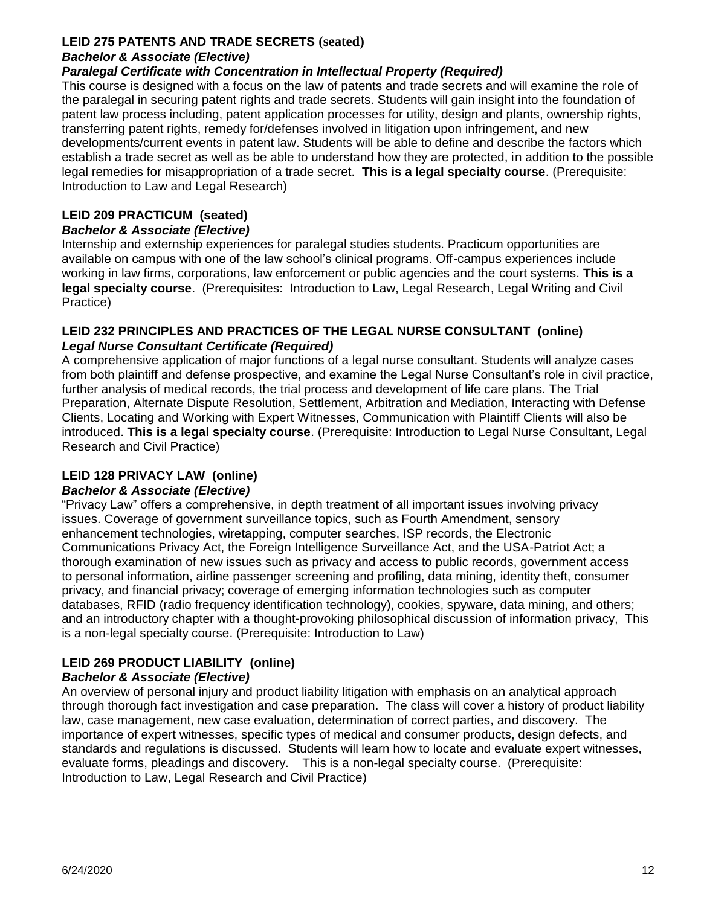### **LEID 275 PATENTS AND TRADE SECRETS (seated)**

## *Bachelor & Associate (Elective)*

## *Paralegal Certificate with Concentration in Intellectual Property (Required)*

This course is designed with a focus on the law of patents and trade secrets and will examine the role of the paralegal in securing patent rights and trade secrets. Students will gain insight into the foundation of patent law process including, patent application processes for utility, design and plants, ownership rights, transferring patent rights, remedy for/defenses involved in litigation upon infringement, and new developments/current events in patent law. Students will be able to define and describe the factors which establish a trade secret as well as be able to understand how they are protected, in addition to the possible legal remedies for misappropriation of a trade secret. **This is a legal specialty course**. (Prerequisite: Introduction to Law and Legal Research)

## **LEID 209 PRACTICUM (seated)**

## *Bachelor & Associate (Elective)*

Internship and externship experiences for paralegal studies students. Practicum opportunities are available on campus with one of the law school's clinical programs. Off-campus experiences include working in law firms, corporations, law enforcement or public agencies and the court systems. **This is a legal specialty course**. (Prerequisites: Introduction to Law, Legal Research, Legal Writing and Civil Practice)

### **LEID 232 PRINCIPLES AND PRACTICES OF THE LEGAL NURSE CONSULTANT (online)** *Legal Nurse Consultant Certificate (Required)*

A comprehensive application of major functions of a legal nurse consultant. Students will analyze cases from both plaintiff and defense prospective, and examine the Legal Nurse Consultant's role in civil practice, further analysis of medical records, the trial process and development of life care plans. The Trial Preparation, Alternate Dispute Resolution, Settlement, Arbitration and Mediation, Interacting with Defense Clients, Locating and Working with Expert Witnesses, Communication with Plaintiff Clients will also be introduced. **This is a legal specialty course**. (Prerequisite: Introduction to Legal Nurse Consultant, Legal Research and Civil Practice)

## **LEID 128 PRIVACY LAW (online)**

## *Bachelor & Associate (Elective)*

"Privacy Law" offers a comprehensive, in depth treatment of all important issues involving privacy issues. Coverage of government surveillance topics, such as Fourth Amendment, sensory enhancement technologies, wiretapping, computer searches, ISP records, the Electronic Communications Privacy Act, the Foreign Intelligence Surveillance Act, and the USA-Patriot Act; a thorough examination of new issues such as privacy and access to public records, government access to personal information, airline passenger screening and profiling, data mining, identity theft, consumer privacy, and financial privacy; coverage of emerging information technologies such as computer databases, RFID (radio frequency identification technology), cookies, spyware, data mining, and others; and an introductory chapter with a thought-provoking philosophical discussion of information privacy, This is a non-legal specialty course. (Prerequisite: Introduction to Law)

## **LEID 269 PRODUCT LIABILITY (online)**

## *Bachelor & Associate (Elective)*

An overview of personal injury and product liability litigation with emphasis on an analytical approach through thorough fact investigation and case preparation. The class will cover a history of product liability law, case management, new case evaluation, determination of correct parties, and discovery. The importance of expert witnesses, specific types of medical and consumer products, design defects, and standards and regulations is discussed. Students will learn how to locate and evaluate expert witnesses, evaluate forms, pleadings and discovery. This is a non-legal specialty course. (Prerequisite: Introduction to Law, Legal Research and Civil Practice)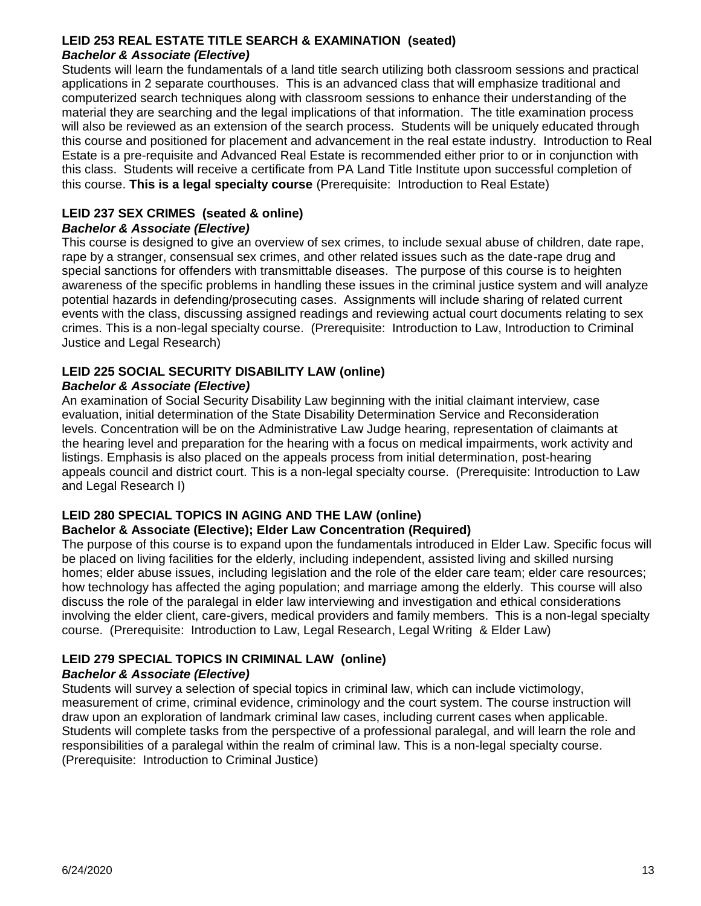#### **LEID 253 REAL ESTATE TITLE SEARCH & EXAMINATION (seated)** *Bachelor & Associate (Elective)*

Students will learn the fundamentals of a land title search utilizing both classroom sessions and practical applications in 2 separate courthouses. This is an advanced class that will emphasize traditional and computerized search techniques along with classroom sessions to enhance their understanding of the material they are searching and the legal implications of that information. The title examination process will also be reviewed as an extension of the search process. Students will be uniquely educated through this course and positioned for placement and advancement in the real estate industry. Introduction to Real Estate is a pre-requisite and Advanced Real Estate is recommended either prior to or in conjunction with this class. Students will receive a certificate from PA Land Title Institute upon successful completion of this course. **This is a legal specialty course** (Prerequisite: Introduction to Real Estate)

#### **LEID 237 SEX CRIMES (seated & online)** *Bachelor & Associate (Elective)*

#### This course is designed to give an overview of sex crimes, to include sexual abuse of children, date rape, rape by a stranger, consensual sex crimes, and other related issues such as the date-rape drug and special sanctions for offenders with transmittable diseases. The purpose of this course is to heighten awareness of the specific problems in handling these issues in the criminal justice system and will analyze potential hazards in defending/prosecuting cases. Assignments will include sharing of related current events with the class, discussing assigned readings and reviewing actual court documents relating to sex crimes. This is a non-legal specialty course. (Prerequisite: Introduction to Law, Introduction to Criminal Justice and Legal Research)

## **LEID 225 SOCIAL SECURITY DISABILITY LAW (online)**

## *Bachelor & Associate (Elective)*

An examination of Social Security Disability Law beginning with the initial claimant interview, case evaluation, initial determination of the State Disability Determination Service and Reconsideration levels. Concentration will be on the Administrative Law Judge hearing, representation of claimants at the hearing level and preparation for the hearing with a focus on medical impairments, work activity and listings. Emphasis is also placed on the appeals process from initial determination, post-hearing appeals council and district court. This is a non-legal specialty course. (Prerequisite: Introduction to Law and Legal Research I)

## **LEID 280 SPECIAL TOPICS IN AGING AND THE LAW (online)**

## **Bachelor & Associate (Elective); Elder Law Concentration (Required)**

The purpose of this course is to expand upon the fundamentals introduced in Elder Law. Specific focus will be placed on living facilities for the elderly, including independent, assisted living and skilled nursing homes; elder abuse issues, including legislation and the role of the elder care team; elder care resources; how technology has affected the aging population; and marriage among the elderly. This course will also discuss the role of the paralegal in elder law interviewing and investigation and ethical considerations involving the elder client, care-givers, medical providers and family members. This is a non-legal specialty course. (Prerequisite: Introduction to Law, Legal Research, Legal Writing & Elder Law)

## **LEID 279 SPECIAL TOPICS IN CRIMINAL LAW (online)**

## *Bachelor & Associate (Elective)*

Students will survey a selection of special topics in criminal law, which can include victimology, measurement of crime, criminal evidence, criminology and the court system. The course instruction will draw upon an exploration of landmark criminal law cases, including current cases when applicable. Students will complete tasks from the perspective of a professional paralegal, and will learn the role and responsibilities of a paralegal within the realm of criminal law. This is a non-legal specialty course. (Prerequisite: Introduction to Criminal Justice)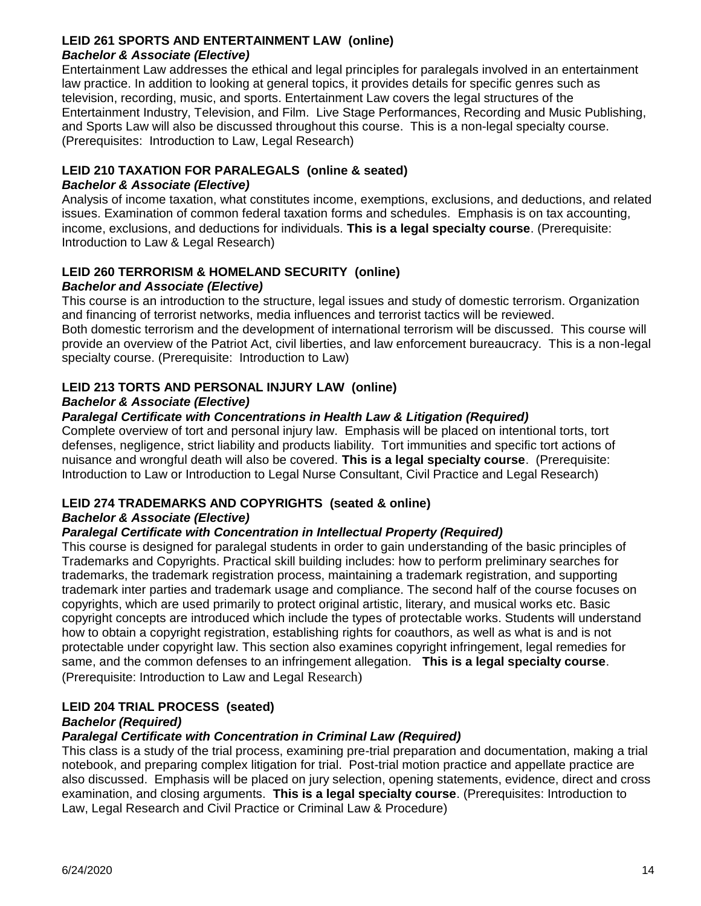### **LEID 261 SPORTS AND ENTERTAINMENT LAW (online)** *Bachelor & Associate (Elective)*

Entertainment Law addresses the ethical and legal principles for paralegals involved in an entertainment law practice. In addition to looking at general topics, it provides details for specific genres such as television, recording, music, and sports. Entertainment Law covers the legal structures of the Entertainment Industry, Television, and Film. Live Stage Performances, Recording and Music Publishing, and Sports Law will also be discussed throughout this course. This is a non-legal specialty course. (Prerequisites: Introduction to Law, Legal Research)

### **LEID 210 TAXATION FOR PARALEGALS (online & seated)**

#### *Bachelor & Associate (Elective)*

Analysis of income taxation, what constitutes income, exemptions, exclusions, and deductions, and related issues. Examination of common federal taxation forms and schedules. Emphasis is on tax accounting, income, exclusions, and deductions for individuals. **This is a legal specialty course**. (Prerequisite: Introduction to Law & Legal Research)

#### **LEID 260 TERRORISM & HOMELAND SECURITY (online)** *Bachelor and Associate (Elective)*

This course is an introduction to the structure, legal issues and study of domestic terrorism. Organization and financing of terrorist networks, media influences and terrorist tactics will be reviewed.

Both domestic terrorism and the development of international terrorism will be discussed. This course will provide an overview of the Patriot Act, civil liberties, and law enforcement bureaucracy. This is a non-legal specialty course. (Prerequisite: Introduction to Law)

## **LEID 213 TORTS AND PERSONAL INJURY LAW (online)**

### *Bachelor & Associate (Elective)*

#### *Paralegal Certificate with Concentrations in Health Law & Litigation (Required)*

Complete overview of tort and personal injury law. Emphasis will be placed on intentional torts, tort defenses, negligence, strict liability and products liability. Tort immunities and specific tort actions of nuisance and wrongful death will also be covered. **This is a legal specialty course**. (Prerequisite: Introduction to Law or Introduction to Legal Nurse Consultant, Civil Practice and Legal Research)

## **LEID 274 TRADEMARKS AND COPYRIGHTS (seated & online)**

#### *Bachelor & Associate (Elective)*

#### *Paralegal Certificate with Concentration in Intellectual Property (Required)*

This course is designed for paralegal students in order to gain understanding of the basic principles of Trademarks and Copyrights. Practical skill building includes: how to perform preliminary searches for trademarks, the trademark registration process, maintaining a trademark registration, and supporting trademark inter parties and trademark usage and compliance. The second half of the course focuses on copyrights, which are used primarily to protect original artistic, literary, and musical works etc. Basic copyright concepts are introduced which include the types of protectable works. Students will understand how to obtain a copyright registration, establishing rights for coauthors, as well as what is and is not protectable under copyright law. This section also examines copyright infringement, legal remedies for same, and the common defenses to an infringement allegation. **This is a legal specialty course**. (Prerequisite: Introduction to Law and Legal Research)

## **LEID 204 TRIAL PROCESS (seated)**

#### *Bachelor (Required)*

### *Paralegal Certificate with Concentration in Criminal Law (Required)*

This class is a study of the trial process, examining pre-trial preparation and documentation, making a trial notebook, and preparing complex litigation for trial. Post-trial motion practice and appellate practice are also discussed. Emphasis will be placed on jury selection, opening statements, evidence, direct and cross examination, and closing arguments. **This is a legal specialty course**. (Prerequisites: Introduction to Law, Legal Research and Civil Practice or Criminal Law & Procedure)